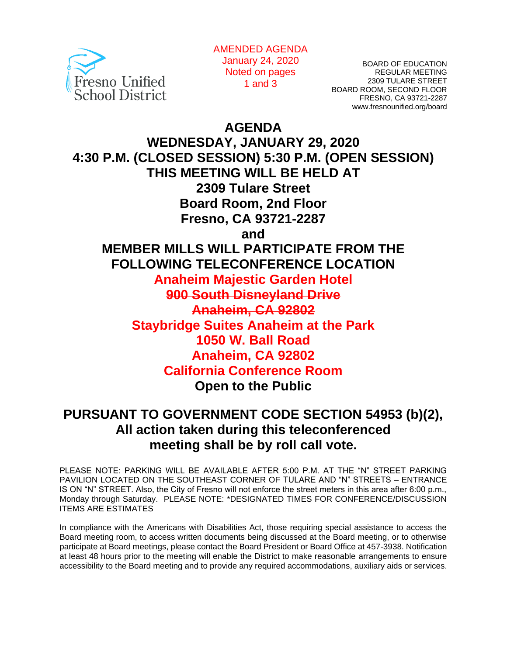

AMENDED AGENDA January 24, 2020 Noted on pages 1 and 3

BOARD OF EDUCATION REGULAR MEETING 2309 TULARE STREET BOARD ROOM, SECOND FLOOR FRESNO, CA 93721-2287 www.fresnounified.org/board

**AGENDA**

**WEDNESDAY, JANUARY 29, 2020 4:30 P.M. (CLOSED SESSION) 5:30 P.M. (OPEN SESSION) THIS MEETING WILL BE HELD AT 2309 Tulare Street Board Room, 2nd Floor Fresno, CA 93721-2287 and MEMBER MILLS WILL PARTICIPATE FROM THE FOLLOWING TELECONFERENCE LOCATION Anaheim Majestic Garden Hotel 900 South Disneyland Drive Anaheim, CA 92802 Staybridge Suites Anaheim at the Park 1050 W. Ball Road Anaheim, CA 92802 California Conference Room Open to the Public**

# **PURSUANT TO GOVERNMENT CODE SECTION 54953 (b)(2), All action taken during this teleconferenced meeting shall be by roll call vote.**

PLEASE NOTE: PARKING WILL BE AVAILABLE AFTER 5:00 P.M. AT THE "N" STREET PARKING PAVILION LOCATED ON THE SOUTHEAST CORNER OF TULARE AND "N" STREETS – ENTRANCE IS ON "N" STREET. Also, the City of Fresno will not enforce the street meters in this area after 6:00 p.m., Monday through Saturday. PLEASE NOTE: \*DESIGNATED TIMES FOR CONFERENCE/DISCUSSION ITEMS ARE ESTIMATES

In compliance with the Americans with Disabilities Act, those requiring special assistance to access the Board meeting room, to access written documents being discussed at the Board meeting, or to otherwise participate at Board meetings, please contact the Board President or Board Office at 457-3938. Notification at least 48 hours prior to the meeting will enable the District to make reasonable arrangements to ensure accessibility to the Board meeting and to provide any required accommodations, auxiliary aids or services.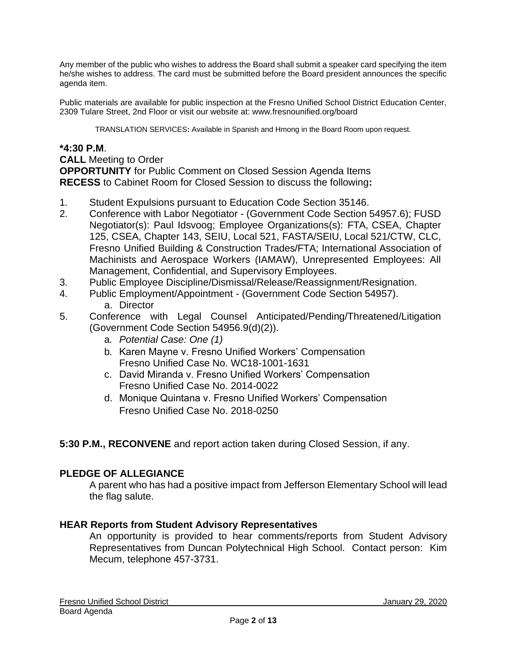Any member of the public who wishes to address the Board shall submit a speaker card specifying the item he/she wishes to address. The card must be submitted before the Board president announces the specific agenda item.

Public materials are available for public inspection at the Fresno Unified School District Education Center, 2309 Tulare Street, 2nd Floor or visit our website at: www.fresnounified.org/board

TRANSLATION SERVICES**:** Available in Spanish and Hmong in the Board Room upon request.

#### **\*4:30 P.M**.

**CALL** Meeting to Order **OPPORTUNITY** for Public Comment on Closed Session Agenda Items **RECESS** to Cabinet Room for Closed Session to discuss the following**:**

- 1. Student Expulsions pursuant to Education Code Section 35146.
- 2. Conference with Labor Negotiator (Government Code Section 54957.6); FUSD Negotiator(s): Paul Idsvoog; Employee Organizations(s): FTA, CSEA, Chapter 125, CSEA, Chapter 143, SEIU, Local 521, FASTA/SEIU, Local 521/CTW, CLC, Fresno Unified Building & Construction Trades/FTA; International Association of Machinists and Aerospace Workers (IAMAW), Unrepresented Employees: All Management, Confidential, and Supervisory Employees.
- 3. Public Employee Discipline/Dismissal/Release/Reassignment/Resignation.
- 4. Public Employment/Appointment (Government Code Section 54957).
	- a. Director
- 5. Conference with Legal Counsel Anticipated/Pending/Threatened/Litigation (Government Code Section 54956.9(d)(2)).
	- a. *Potential Case: One (1)*
	- b. Karen Mayne v. Fresno Unified Workers' Compensation Fresno Unified Case No. WC18-1001-1631
	- c. David Miranda v. Fresno Unified Workers' Compensation Fresno Unified Case No. 2014-0022
	- d. Monique Quintana v. Fresno Unified Workers' Compensation Fresno Unified Case No. 2018-0250
- **5:30 P.M., RECONVENE** and report action taken during Closed Session, if any.

# **PLEDGE OF ALLEGIANCE**

A parent who has had a positive impact from Jefferson Elementary School will lead the flag salute.

#### **HEAR Reports from Student Advisory Representatives**

An opportunity is provided to hear comments/reports from Student Advisory Representatives from Duncan Polytechnical High School. Contact person: Kim Mecum, telephone 457-3731.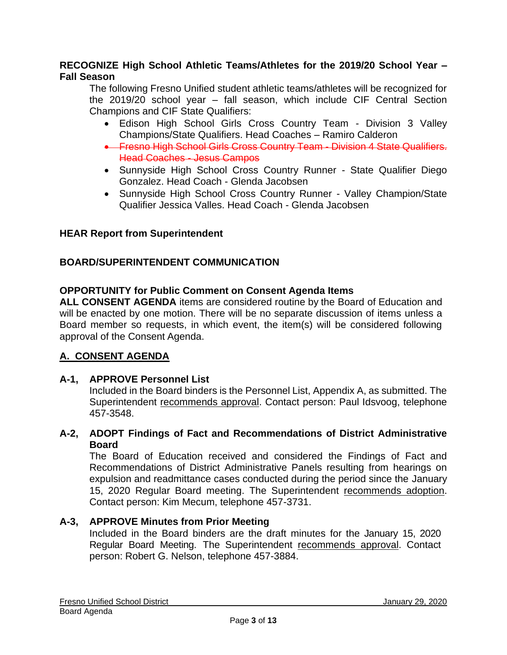### **RECOGNIZE High School Athletic Teams/Athletes for the 2019/20 School Year – Fall Season**

The following Fresno Unified student athletic teams/athletes will be recognized for the 2019/20 school year – fall season, which include CIF Central Section Champions and CIF State Qualifiers:

- Edison High School Girls Cross Country Team Division 3 Valley Champions/State Qualifiers. Head Coaches – Ramiro Calderon
- Fresno High School Girls Cross Country Team Division 4 State Qualifiers. Head Coaches - Jesus Campos
- Sunnyside High School Cross Country Runner State Qualifier Diego Gonzalez. Head Coach - Glenda Jacobsen
- Sunnyside High School Cross Country Runner Valley Champion/State Qualifier Jessica Valles. Head Coach - Glenda Jacobsen

# **HEAR Report from Superintendent**

# **BOARD/SUPERINTENDENT COMMUNICATION**

### **OPPORTUNITY for Public Comment on Consent Agenda Items**

**ALL CONSENT AGENDA** items are considered routine by the Board of Education and will be enacted by one motion. There will be no separate discussion of items unless a Board member so requests, in which event, the item(s) will be considered following approval of the Consent Agenda.

# **A. CONSENT AGENDA**

# **A-1, APPROVE Personnel List**

Included in the Board binders is the Personnel List, Appendix A, as submitted. The Superintendent recommends approval. Contact person: Paul Idsvoog, telephone 457-3548.

### **A-2, ADOPT Findings of Fact and Recommendations of District Administrative Board**

The Board of Education received and considered the Findings of Fact and Recommendations of District Administrative Panels resulting from hearings on expulsion and readmittance cases conducted during the period since the January 15, 2020 Regular Board meeting. The Superintendent recommends adoption. Contact person: Kim Mecum, telephone 457-3731.

# **A-3, APPROVE Minutes from Prior Meeting**

Included in the Board binders are the draft minutes for the January 15, 2020 Regular Board Meeting. The Superintendent recommends approval. Contact person: Robert G. Nelson, telephone 457-3884.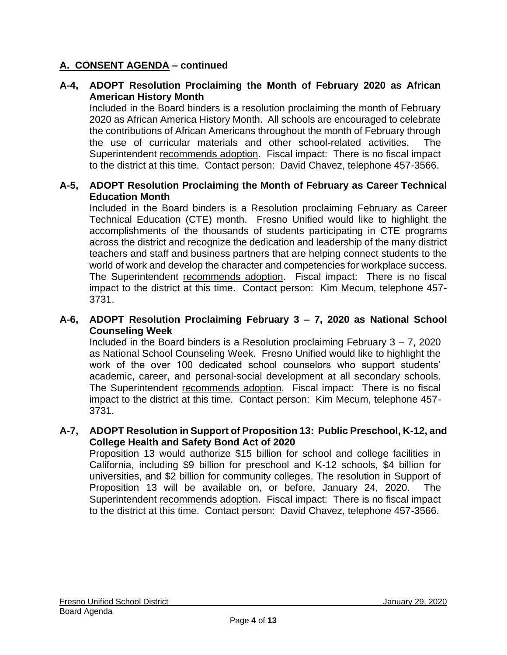# **A-4, ADOPT Resolution Proclaiming the Month of February 2020 as African American History Month**

Included in the Board binders is a resolution proclaiming the month of February 2020 as African America History Month. All schools are encouraged to celebrate the contributions of African Americans throughout the month of February through the use of curricular materials and other school-related activities. The Superintendent recommends adoption. Fiscal impact: There is no fiscal impact to the district at this time. Contact person: David Chavez, telephone 457-3566.

#### **A-5, ADOPT Resolution Proclaiming the Month of February as Career Technical Education Month**

Included in the Board binders is a Resolution proclaiming February as Career Technical Education (CTE) month. Fresno Unified would like to highlight the accomplishments of the thousands of students participating in CTE programs across the district and recognize the dedication and leadership of the many district teachers and staff and business partners that are helping connect students to the world of work and develop the character and competencies for workplace success. The Superintendent recommends adoption. Fiscal impact: There is no fiscal impact to the district at this time. Contact person: Kim Mecum, telephone 457- 3731.

#### **A-6, ADOPT Resolution Proclaiming February 3 – 7, 2020 as National School Counseling Week**

Included in the Board binders is a Resolution proclaiming February  $3 - 7$ , 2020 as National School Counseling Week. Fresno Unified would like to highlight the work of the over 100 dedicated school counselors who support students' academic, career, and personal-social development at all secondary schools. The Superintendent recommends adoption. Fiscal impact: There is no fiscal impact to the district at this time. Contact person: Kim Mecum, telephone 457- 3731.

#### **A-7, ADOPT Resolution in Support of Proposition 13: Public Preschool, K-12, and College Health and Safety Bond Act of 2020**

Proposition 13 would authorize \$15 billion for school and college facilities in California, including \$9 billion for preschool and K-12 schools, \$4 billion for universities, and \$2 billion for community colleges. The resolution in Support of Proposition 13 will be available on, or before, January 24, 2020. The Superintendent recommends adoption. Fiscal impact: There is no fiscal impact to the district at this time. Contact person: David Chavez, telephone 457-3566.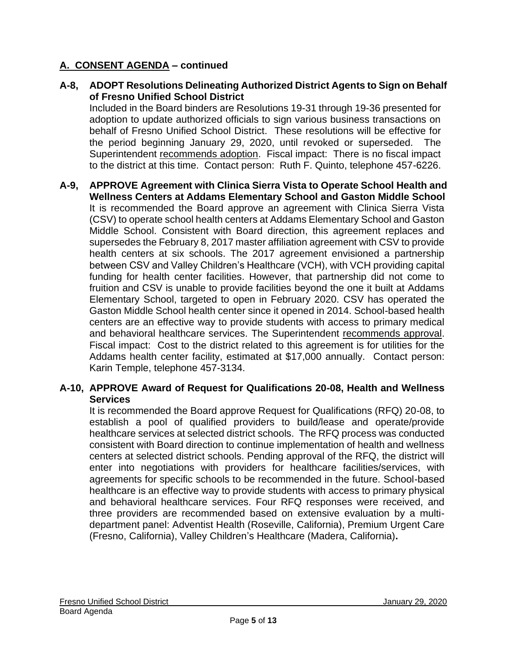**A-8, ADOPT Resolutions Delineating Authorized District Agents to Sign on Behalf of Fresno Unified School District**

Included in the Board binders are Resolutions 19-31 through 19-36 presented for adoption to update authorized officials to sign various business transactions on behalf of Fresno Unified School District. These resolutions will be effective for the period beginning January 29, 2020, until revoked or superseded. The Superintendent recommends adoption. Fiscal impact: There is no fiscal impact to the district at this time. Contact person: Ruth F. Quinto, telephone 457-6226.

**A-9, APPROVE Agreement with Clinica Sierra Vista to Operate School Health and Wellness Centers at Addams Elementary School and Gaston Middle School** It is recommended the Board approve an agreement with Clinica Sierra Vista (CSV) to operate school health centers at Addams Elementary School and Gaston Middle School. Consistent with Board direction, this agreement replaces and supersedes the February 8, 2017 master affiliation agreement with CSV to provide health centers at six schools. The 2017 agreement envisioned a partnership between CSV and Valley Children's Healthcare (VCH), with VCH providing capital funding for health center facilities. However, that partnership did not come to fruition and CSV is unable to provide facilities beyond the one it built at Addams Elementary School, targeted to open in February 2020. CSV has operated the Gaston Middle School health center since it opened in 2014. School-based health centers are an effective way to provide students with access to primary medical and behavioral healthcare services. The Superintendent recommends approval. Fiscal impact: Cost to the district related to this agreement is for utilities for the Addams health center facility, estimated at \$17,000 annually. Contact person: Karin Temple, telephone 457-3134.

### **A-10, APPROVE Award of Request for Qualifications 20-08, Health and Wellness Services**

It is recommended the Board approve Request for Qualifications (RFQ) 20-08, to establish a pool of qualified providers to build/lease and operate/provide healthcare services at selected district schools. The RFQ process was conducted consistent with Board direction to continue implementation of health and wellness centers at selected district schools. Pending approval of the RFQ, the district will enter into negotiations with providers for healthcare facilities/services, with agreements for specific schools to be recommended in the future. School-based healthcare is an effective way to provide students with access to primary physical and behavioral healthcare services. Four RFQ responses were received, and three providers are recommended based on extensive evaluation by a multidepartment panel: Adventist Health (Roseville, California), Premium Urgent Care (Fresno, California), Valley Children's Healthcare (Madera, California)**.**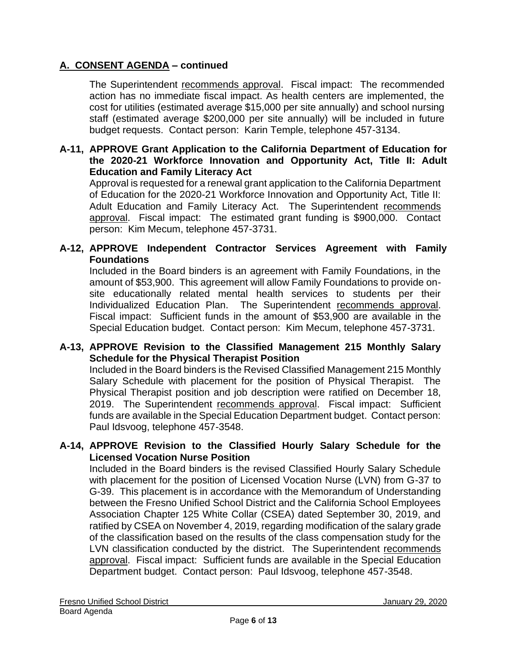The Superintendent recommends approval. Fiscal impact: The recommended action has no immediate fiscal impact. As health centers are implemented, the cost for utilities (estimated average \$15,000 per site annually) and school nursing staff (estimated average \$200,000 per site annually) will be included in future budget requests. Contact person: Karin Temple, telephone 457-3134.

**A-11, APPROVE Grant Application to the California Department of Education for the 2020-21 Workforce Innovation and Opportunity Act, Title II: Adult Education and Family Literacy Act**

Approval is requested for a renewal grant application to the California Department of Education for the 2020-21 Workforce Innovation and Opportunity Act, Title II: Adult Education and Family Literacy Act. The Superintendent recommends approval. Fiscal impact: The estimated grant funding is \$900,000. Contact person: Kim Mecum, telephone 457-3731.

### **A-12, APPROVE Independent Contractor Services Agreement with Family Foundations**

Included in the Board binders is an agreement with Family Foundations, in the amount of \$53,900. This agreement will allow Family Foundations to provide onsite educationally related mental health services to students per their Individualized Education Plan. The Superintendent recommends approval. Fiscal impact: Sufficient funds in the amount of \$53,900 are available in the Special Education budget. Contact person: Kim Mecum, telephone 457-3731.

### **A-13, APPROVE Revision to the Classified Management 215 Monthly Salary Schedule for the Physical Therapist Position**

Included in the Board binders is the Revised Classified Management 215 Monthly Salary Schedule with placement for the position of Physical Therapist. The Physical Therapist position and job description were ratified on December 18, 2019. The Superintendent recommends approval. Fiscal impact: Sufficient funds are available in the Special Education Department budget. Contact person: Paul Idsvoog, telephone 457-3548.

### **A-14, APPROVE Revision to the Classified Hourly Salary Schedule for the Licensed Vocation Nurse Position**

Included in the Board binders is the revised Classified Hourly Salary Schedule with placement for the position of Licensed Vocation Nurse (LVN) from G-37 to G-39. This placement is in accordance with the Memorandum of Understanding between the Fresno Unified School District and the California School Employees Association Chapter 125 White Collar (CSEA) dated September 30, 2019, and ratified by CSEA on November 4, 2019, regarding modification of the salary grade of the classification based on the results of the class compensation study for the LVN classification conducted by the district. The Superintendent recommends approval. Fiscal impact: Sufficient funds are available in the Special Education Department budget. Contact person: Paul Idsvoog, telephone 457-3548.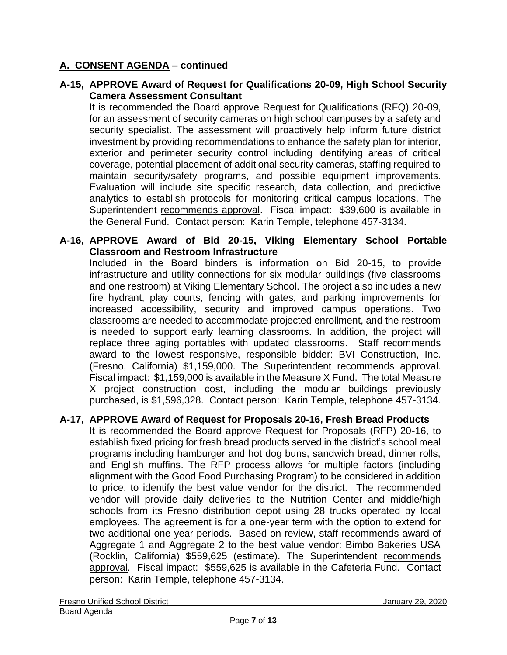### **A-15, APPROVE Award of Request for Qualifications 20-09, High School Security Camera Assessment Consultant**

It is recommended the Board approve Request for Qualifications (RFQ) 20-09, for an assessment of security cameras on high school campuses by a safety and security specialist. The assessment will proactively help inform future district investment by providing recommendations to enhance the safety plan for interior, exterior and perimeter security control including identifying areas of critical coverage, potential placement of additional security cameras, staffing required to maintain security/safety programs, and possible equipment improvements. Evaluation will include site specific research, data collection, and predictive analytics to establish protocols for monitoring critical campus locations. The Superintendent recommends approval. Fiscal impact: \$39,600 is available in the General Fund. Contact person: Karin Temple, telephone 457-3134.

### **A-16, APPROVE Award of Bid 20-15, Viking Elementary School Portable Classroom and Restroom Infrastructure**

Included in the Board binders is information on Bid 20-15, to provide infrastructure and utility connections for six modular buildings (five classrooms and one restroom) at Viking Elementary School. The project also includes a new fire hydrant, play courts, fencing with gates, and parking improvements for increased accessibility, security and improved campus operations. Two classrooms are needed to accommodate projected enrollment, and the restroom is needed to support early learning classrooms. In addition, the project will replace three aging portables with updated classrooms. Staff recommends award to the lowest responsive, responsible bidder: BVI Construction, Inc. (Fresno, California) \$1,159,000. The Superintendent recommends approval. Fiscal impact: \$1,159,000 is available in the Measure X Fund. The total Measure X project construction cost, including the modular buildings previously purchased, is \$1,596,328. Contact person: Karin Temple, telephone 457-3134.

# **A-17, APPROVE Award of Request for Proposals 20-16, Fresh Bread Products**

It is recommended the Board approve Request for Proposals (RFP) 20-16, to establish fixed pricing for fresh bread products served in the district's school meal programs including hamburger and hot dog buns, sandwich bread, dinner rolls, and English muffins. The RFP process allows for multiple factors (including alignment with the Good Food Purchasing Program) to be considered in addition to price, to identify the best value vendor for the district. The recommended vendor will provide daily deliveries to the Nutrition Center and middle/high schools from its Fresno distribution depot using 28 trucks operated by local employees. The agreement is for a one-year term with the option to extend for two additional one-year periods. Based on review, staff recommends award of Aggregate 1 and Aggregate 2 to the best value vendor: Bimbo Bakeries USA (Rocklin, California) \$559,625 (estimate). The Superintendent recommends approval. Fiscal impact: \$559,625 is available in the Cafeteria Fund. Contact person: Karin Temple, telephone 457-3134.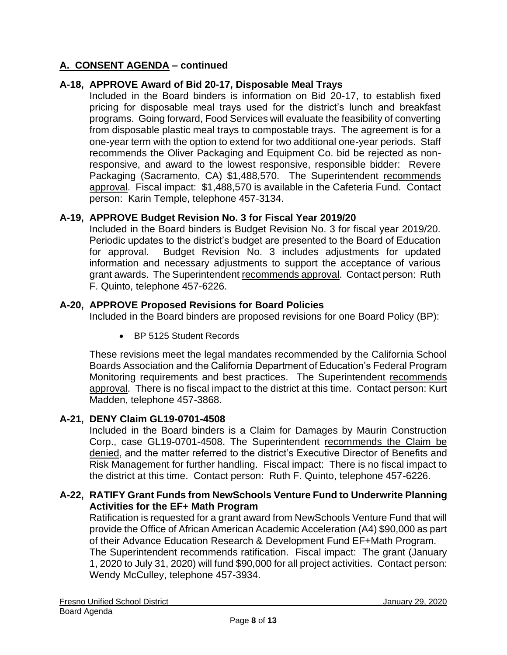# **A-18, APPROVE Award of Bid 20-17, Disposable Meal Trays**

Included in the Board binders is information on Bid 20-17, to establish fixed pricing for disposable meal trays used for the district's lunch and breakfast programs. Going forward, Food Services will evaluate the feasibility of converting from disposable plastic meal trays to compostable trays. The agreement is for a one-year term with the option to extend for two additional one-year periods. Staff recommends the Oliver Packaging and Equipment Co. bid be rejected as nonresponsive, and award to the lowest responsive, responsible bidder: Revere Packaging (Sacramento, CA) \$1,488,570. The Superintendent recommends approval. Fiscal impact: \$1,488,570 is available in the Cafeteria Fund. Contact person: Karin Temple, telephone 457-3134.

### **A-19, APPROVE Budget Revision No. 3 for Fiscal Year 2019/20**

Included in the Board binders is Budget Revision No. 3 for fiscal year 2019/20. Periodic updates to the district's budget are presented to the Board of Education for approval. Budget Revision No. 3 includes adjustments for updated information and necessary adjustments to support the acceptance of various grant awards. The Superintendent recommends approval. Contact person: Ruth F. Quinto, telephone 457-6226.

# **A-20, APPROVE Proposed Revisions for Board Policies**

Included in the Board binders are proposed revisions for one Board Policy (BP):

• BP 5125 Student Records

These revisions meet the legal mandates recommended by the California School Boards Association and the California Department of Education's Federal Program Monitoring requirements and best practices. The Superintendent recommends approval. There is no fiscal impact to the district at this time. Contact person: Kurt Madden, telephone 457-3868.

#### **A-21, DENY Claim GL19-0701-4508**

Included in the Board binders is a Claim for Damages by Maurin Construction Corp., case GL19-0701-4508. The Superintendent recommends the Claim be denied, and the matter referred to the district's Executive Director of Benefits and Risk Management for further handling. Fiscal impact: There is no fiscal impact to the district at this time. Contact person: Ruth F. Quinto, telephone 457-6226.

### **A-22, RATIFY Grant Funds from NewSchools Venture Fund to Underwrite Planning Activities for the EF+ Math Program**

Ratification is requested for a grant award from NewSchools Venture Fund that will provide the Office of African American Academic Acceleration (A4) \$90,000 as part of their Advance Education Research & Development Fund EF+Math Program.

The Superintendent recommends ratification. Fiscal impact: The grant (January 1, 2020 to July 31, 2020) will fund \$90,000 for all project activities. Contact person: Wendy McCulley, telephone 457-3934.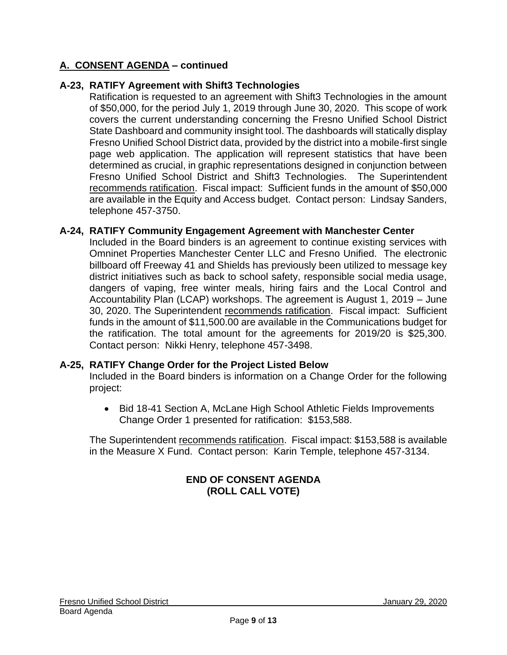# **A-23, RATIFY Agreement with Shift3 Technologies**

Ratification is requested to an agreement with Shift3 Technologies in the amount of \$50,000, for the period July 1, 2019 through June 30, 2020. This scope of work covers the current understanding concerning the Fresno Unified School District State Dashboard and community insight tool. The dashboards will statically display Fresno Unified School District data, provided by the district into a mobile-first single page web application. The application will represent statistics that have been determined as crucial, in graphic representations designed in conjunction between Fresno Unified School District and Shift3 Technologies. The Superintendent recommends ratification. Fiscal impact: Sufficient funds in the amount of \$50,000 are available in the Equity and Access budget. Contact person: Lindsay Sanders, telephone 457-3750.

### **A-24, RATIFY Community Engagement Agreement with Manchester Center**

Included in the Board binders is an agreement to continue existing services with Omninet Properties Manchester Center LLC and Fresno Unified. The electronic billboard off Freeway 41 and Shields has previously been utilized to message key district initiatives such as back to school safety, responsible social media usage, dangers of vaping, free winter meals, hiring fairs and the Local Control and Accountability Plan (LCAP) workshops. The agreement is August 1, 2019 – June 30, 2020. The Superintendent recommends ratification. Fiscal impact: Sufficient funds in the amount of \$11,500.00 are available in the Communications budget for the ratification. The total amount for the agreements for 2019/20 is \$25,300. Contact person: Nikki Henry, telephone 457-3498.

#### **A-25, RATIFY Change Order for the Project Listed Below**

Included in the Board binders is information on a Change Order for the following project:

• Bid 18-41 Section A, McLane High School Athletic Fields Improvements Change Order 1 presented for ratification: \$153,588.

The Superintendent recommends ratification. Fiscal impact: \$153,588 is available in the Measure X Fund. Contact person: Karin Temple, telephone 457-3134.

# **END OF CONSENT AGENDA (ROLL CALL VOTE)**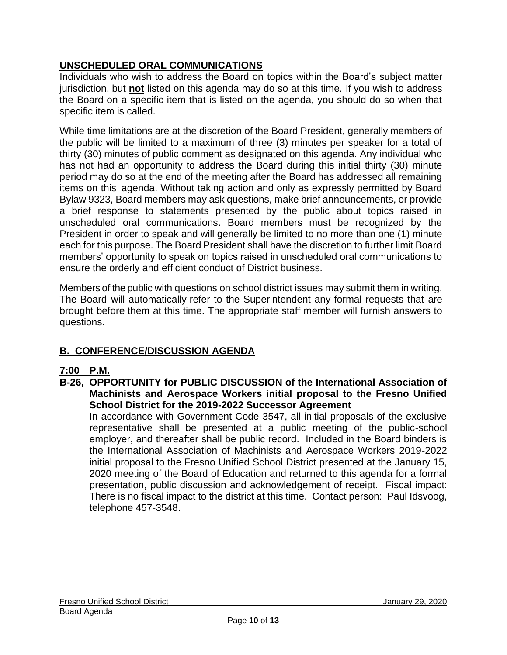# **UNSCHEDULED ORAL COMMUNICATIONS**

Individuals who wish to address the Board on topics within the Board's subject matter jurisdiction, but **not** listed on this agenda may do so at this time. If you wish to address the Board on a specific item that is listed on the agenda, you should do so when that specific item is called.

While time limitations are at the discretion of the Board President, generally members of the public will be limited to a maximum of three (3) minutes per speaker for a total of thirty (30) minutes of public comment as designated on this agenda. Any individual who has not had an opportunity to address the Board during this initial thirty (30) minute period may do so at the end of the meeting after the Board has addressed all remaining items on this agenda. Without taking action and only as expressly permitted by Board Bylaw 9323, Board members may ask questions, make brief announcements, or provide a brief response to statements presented by the public about topics raised in unscheduled oral communications. Board members must be recognized by the President in order to speak and will generally be limited to no more than one (1) minute each for this purpose. The Board President shall have the discretion to further limit Board members' opportunity to speak on topics raised in unscheduled oral communications to ensure the orderly and efficient conduct of District business.

Members of the public with questions on school district issues may submit them in writing. The Board will automatically refer to the Superintendent any formal requests that are brought before them at this time. The appropriate staff member will furnish answers to questions.

# **B. CONFERENCE/DISCUSSION AGENDA**

# **7:00 P.M.**

**B-26, OPPORTUNITY for PUBLIC DISCUSSION of the International Association of Machinists and Aerospace Workers initial proposal to the Fresno Unified School District for the 2019-2022 Successor Agreement**

In accordance with Government Code 3547, all initial proposals of the exclusive representative shall be presented at a public meeting of the public-school employer, and thereafter shall be public record. Included in the Board binders is the International Association of Machinists and Aerospace Workers 2019-2022 initial proposal to the Fresno Unified School District presented at the January 15, 2020 meeting of the Board of Education and returned to this agenda for a formal presentation, public discussion and acknowledgement of receipt. Fiscal impact: There is no fiscal impact to the district at this time. Contact person: Paul Idsvoog, telephone 457-3548.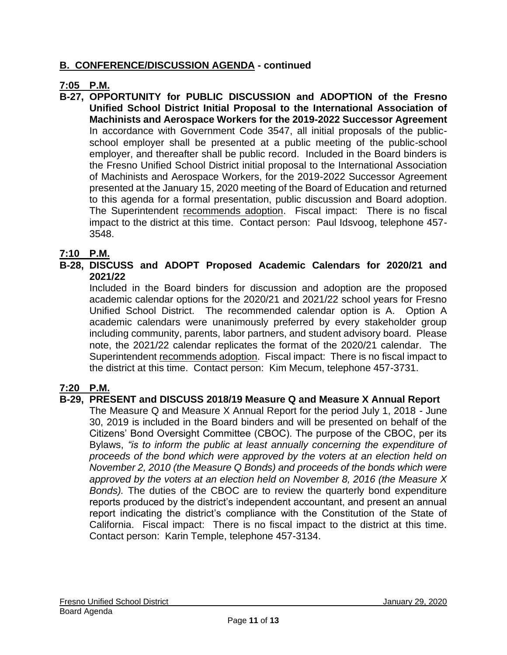# **B. CONFERENCE/DISCUSSION AGENDA - continued**

# **7:05 P.M.**

**B-27, OPPORTUNITY for PUBLIC DISCUSSION and ADOPTION of the Fresno Unified School District Initial Proposal to the International Association of Machinists and Aerospace Workers for the 2019-2022 Successor Agreement** In accordance with Government Code 3547, all initial proposals of the publicschool employer shall be presented at a public meeting of the public-school employer, and thereafter shall be public record. Included in the Board binders is the Fresno Unified School District initial proposal to the International Association of Machinists and Aerospace Workers, for the 2019-2022 Successor Agreement presented at the January 15, 2020 meeting of the Board of Education and returned to this agenda for a formal presentation, public discussion and Board adoption. The Superintendent recommends adoption. Fiscal impact: There is no fiscal impact to the district at this time. Contact person: Paul Idsvoog, telephone 457- 3548.

# **7:10 P.M.**

### **B-28, DISCUSS and ADOPT Proposed Academic Calendars for 2020/21 and 2021/22**

Included in the Board binders for discussion and adoption are the proposed academic calendar options for the 2020/21 and 2021/22 school years for Fresno Unified School District. The recommended calendar option is A. Option A academic calendars were unanimously preferred by every stakeholder group including community, parents, labor partners, and student advisory board. Please note, the 2021/22 calendar replicates the format of the 2020/21 calendar. The Superintendent recommends adoption. Fiscal impact: There is no fiscal impact to the district at this time. Contact person: Kim Mecum, telephone 457-3731.

# **7:20 P.M.**

# **B-29, PRESENT and DISCUSS 2018/19 Measure Q and Measure X Annual Report**

The Measure Q and Measure X Annual Report for the period July 1, 2018 - June 30, 2019 is included in the Board binders and will be presented on behalf of the Citizens' Bond Oversight Committee (CBOC). The purpose of the CBOC, per its Bylaws, *"is to inform the public at least annually concerning the expenditure of proceeds of the bond which were approved by the voters at an election held on November 2, 2010 (the Measure Q Bonds) and proceeds of the bonds which were approved by the voters at an election held on November 8, 2016 (the Measure X Bonds).* The duties of the CBOC are to review the quarterly bond expenditure reports produced by the district's independent accountant, and present an annual report indicating the district's compliance with the Constitution of the State of California. Fiscal impact: There is no fiscal impact to the district at this time. Contact person: Karin Temple, telephone 457-3134.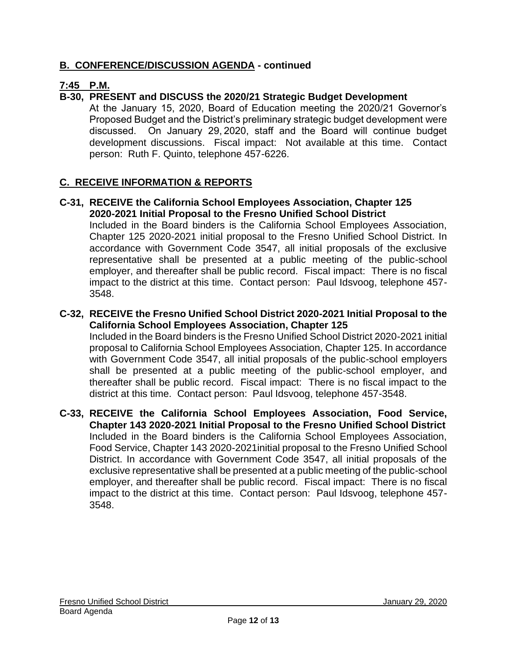# **B. CONFERENCE/DISCUSSION AGENDA - continued**

# **7:45 P.M.**

# **B-30, PRESENT and DISCUSS the 2020/21 Strategic Budget Development**

At the January 15, 2020, Board of Education meeting the 2020/21 Governor's Proposed Budget and the District's preliminary strategic budget development were discussed. On January 29, 2020, staff and the Board will continue budget development discussions. Fiscal impact: Not available at this time. Contact person: Ruth F. Quinto, telephone 457-6226.

# **C. RECEIVE INFORMATION & REPORTS**

#### **C-31, RECEIVE the California School Employees Association, Chapter 125 2020-2021 Initial Proposal to the Fresno Unified School District**

Included in the Board binders is the California School Employees Association, Chapter 125 2020-2021 initial proposal to the Fresno Unified School District. In accordance with Government Code 3547, all initial proposals of the exclusive representative shall be presented at a public meeting of the public-school employer, and thereafter shall be public record. Fiscal impact: There is no fiscal impact to the district at this time. Contact person: Paul Idsvoog, telephone 457- 3548.

# **C-32, RECEIVE the Fresno Unified School District 2020-2021 Initial Proposal to the California School Employees Association, Chapter 125**

Included in the Board binders is the Fresno Unified School District 2020-2021 initial proposal to California School Employees Association, Chapter 125. In accordance with Government Code 3547, all initial proposals of the public-school employers shall be presented at a public meeting of the public-school employer, and thereafter shall be public record. Fiscal impact: There is no fiscal impact to the district at this time. Contact person: Paul Idsvoog, telephone 457-3548.

#### **C-33, RECEIVE the California School Employees Association, Food Service, Chapter 143 2020-2021 Initial Proposal to the Fresno Unified School District** Included in the Board binders is the California School Employees Association, Food Service, Chapter 143 2020-2021initial proposal to the Fresno Unified School District. In accordance with Government Code 3547, all initial proposals of the exclusive representative shall be presented at a public meeting of the public-school employer, and thereafter shall be public record. Fiscal impact: There is no fiscal impact to the district at this time. Contact person: Paul Idsvoog, telephone 457- 3548.